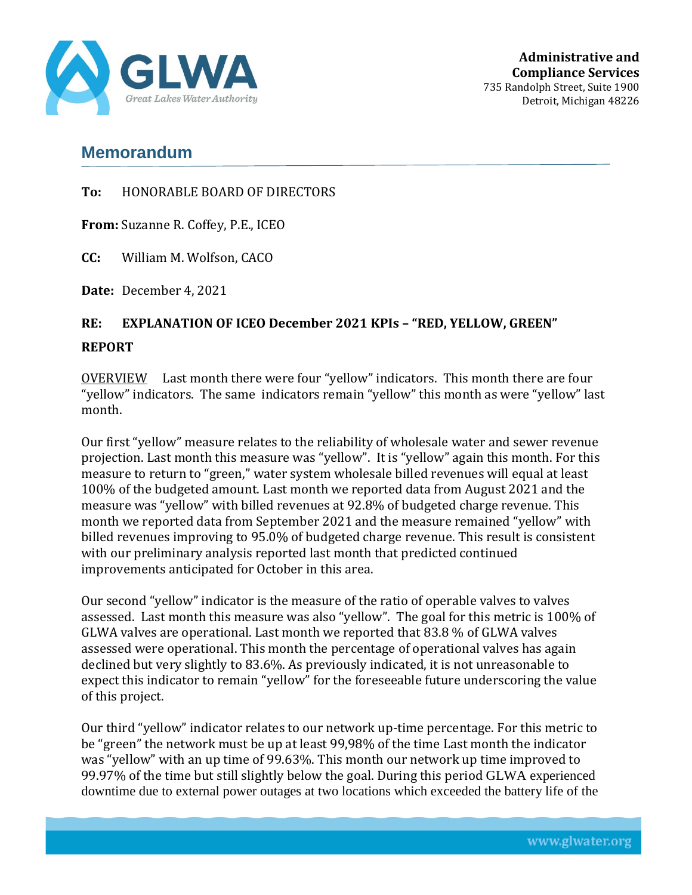

## **Memorandum**

**To:** HONORABLE BOARD OF DIRECTORS

**From:** Suzanne R. Coffey, P.E., ICEO

**CC:** William M. Wolfson, CACO

**Date:** December 4, 2021

## **RE: EXPLANATION OF ICEO December 2021 KPIs – "RED, YELLOW, GREEN" REPORT**

OVERVIEW Last month there were four "yellow" indicators. This month there are four "yellow" indicators. The same indicators remain "yellow" this month as were "yellow" last month.

Our first "yellow" measure relates to the reliability of wholesale water and sewer revenue projection. Last month this measure was "yellow". It is "yellow" again this month. For this measure to return to "green," water system wholesale billed revenues will equal at least 100% of the budgeted amount. Last month we reported data from August 2021 and the measure was "yellow" with billed revenues at 92.8% of budgeted charge revenue. This month we reported data from September 2021 and the measure remained "yellow" with billed revenues improving to 95.0% of budgeted charge revenue. This result is consistent with our preliminary analysis reported last month that predicted continued improvements anticipated for October in this area.

Our second "yellow" indicator is the measure of the ratio of operable valves to valves assessed. Last month this measure was also "yellow". The goal for this metric is 100% of GLWA valves are operational. Last month we reported that 83.8 % of GLWA valves assessed were operational. This month the percentage of operational valves has again declined but very slightly to 83.6%. As previously indicated, it is not unreasonable to expect this indicator to remain "yellow" for the foreseeable future underscoring the value of this project.

Our third "yellow" indicator relates to our network up-time percentage. For this metric to be "green" the network must be up at least 99,98% of the time Last month the indicator was "yellow" with an up time of 99.63%. This month our network up time improved to 99.97% of the time but still slightly below the goal. During this period GLWA experienced downtime due to external power outages at two locations which exceeded the battery life of the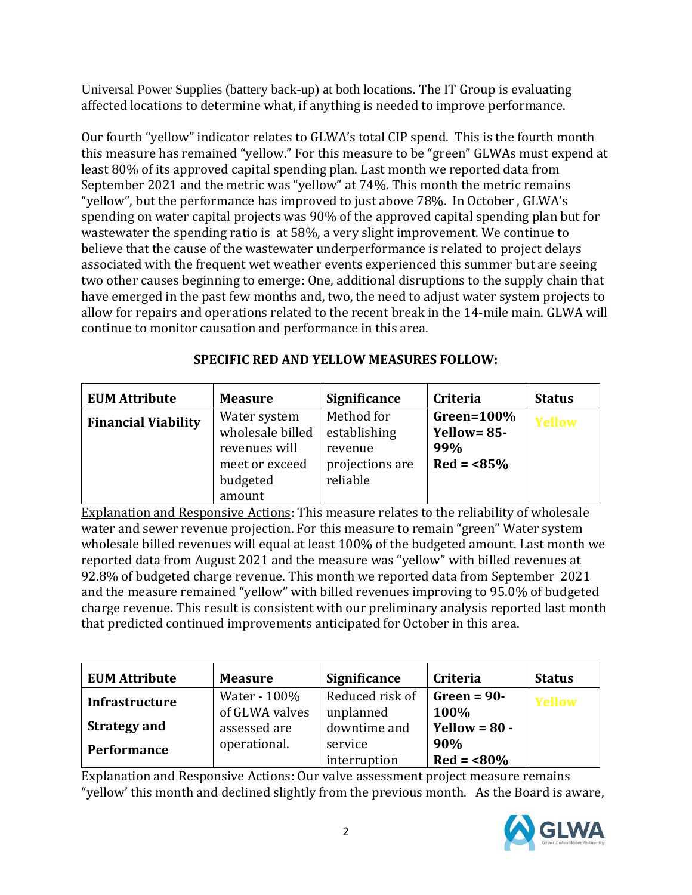Universal Power Supplies (battery back-up) at both locations. The IT Group is evaluating affected locations to determine what, if anything is needed to improve performance.

Our fourth "yellow" indicator relates to GLWA's total CIP spend. This is the fourth month this measure has remained "yellow." For this measure to be "green" GLWAs must expend at least 80% of its approved capital spending plan. Last month we reported data from September 2021 and the metric was "yellow" at 74%. This month the metric remains "yellow", but the performance has improved to just above 78%. In October , GLWA's spending on water capital projects was 90% of the approved capital spending plan but for wastewater the spending ratio is at 58%, a very slight improvement. We continue to believe that the cause of the wastewater underperformance is related to project delays associated with the frequent wet weather events experienced this summer but are seeing two other causes beginning to emerge: One, additional disruptions to the supply chain that have emerged in the past few months and, two, the need to adjust water system projects to allow for repairs and operations related to the recent break in the 14-mile main. GLWA will continue to monitor causation and performance in this area.

| <b>EUM Attribute</b>       | <b>Measure</b>                                                                            | <b>Significance</b>                                                  | Criteria                                              | <b>Status</b> |
|----------------------------|-------------------------------------------------------------------------------------------|----------------------------------------------------------------------|-------------------------------------------------------|---------------|
| <b>Financial Viability</b> | Water system<br>wholesale billed<br>revenues will<br>meet or exceed<br>budgeted<br>amount | Method for<br>establishing<br>revenue<br>projections are<br>reliable | Green= $100\%$<br>Yellow= $85-$<br>99%<br>$Red = 85%$ | Yellow        |

## **SPECIFIC RED AND YELLOW MEASURES FOLLOW:**

Explanation and Responsive Actions: This measure relates to the reliability of wholesale water and sewer revenue projection. For this measure to remain "green" Water system wholesale billed revenues will equal at least 100% of the budgeted amount. Last month we reported data from August 2021 and the measure was "yellow" with billed revenues at 92.8% of budgeted charge revenue. This month we reported data from September 2021 and the measure remained "yellow" with billed revenues improving to 95.0% of budgeted charge revenue. This result is consistent with our preliminary analysis reported last month that predicted continued improvements anticipated for October in this area.

| <b>EUM Attribute</b>  | <b>Measure</b> | <b>Significance</b> | <b>Criteria</b> | <b>Status</b> |
|-----------------------|----------------|---------------------|-----------------|---------------|
| <b>Infrastructure</b> | Water - 100%   | Reduced risk of     | $Green = 90-$   | Yellow        |
|                       | of GLWA valves | unplanned           | 100%            |               |
| <b>Strategy and</b>   | assessed are   | downtime and        | Yellow = $80 -$ |               |
| <b>Performance</b>    | operational.   | service             | 90%             |               |
|                       |                | interruption        | $Red = 80%$     |               |

Explanation and Responsive Actions: Our valve assessment project measure remains "yellow' this month and declined slightly from the previous month. As the Board is aware,